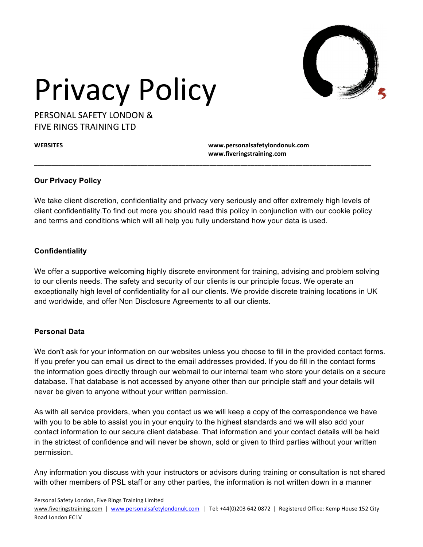

PERSONAL SAFFTY LONDON & **FIVE RINGS TRAINING LTD** 

**WEBSITES www.personalsafetylondonuk.com www.fiveringstraining.com**

### **Our Privacy Policy**

We take client discretion, confidentiality and privacy very seriously and offer extremely high levels of client confidentiality.To find out more you should read this policy in conjunction with our cookie policy and terms and conditions which will all help you fully understand how your data is used.

**\_\_\_\_\_\_\_\_\_\_\_\_\_\_\_\_\_\_\_\_\_\_\_\_\_\_\_\_\_\_\_\_\_\_\_\_\_\_\_\_\_\_\_\_\_\_\_\_\_\_\_\_\_\_\_\_\_\_\_\_\_\_\_\_\_\_\_\_\_\_\_\_\_\_\_\_\_\_\_\_\_\_\_\_\_\_\_\_\_\_\_\_\_\_\_\_\_\_**

### **Confidentiality**

We offer a supportive welcoming highly discrete environment for training, advising and problem solving to our clients needs. The safety and security of our clients is our principle focus. We operate an exceptionally high level of confidentiality for all our clients. We provide discrete training locations in UK and worldwide, and offer Non Disclosure Agreements to all our clients.

### **Personal Data**

We don't ask for your information on our websites unless you choose to fill in the provided contact forms. If you prefer you can email us direct to the email addresses provided. If you do fill in the contact forms the information goes directly through our webmail to our internal team who store your details on a secure database. That database is not accessed by anyone other than our principle staff and your details will never be given to anyone without your written permission.

As with all service providers, when you contact us we will keep a copy of the correspondence we have with you to be able to assist you in your enquiry to the highest standards and we will also add your contact information to our secure client database. That information and your contact details will be held in the strictest of confidence and will never be shown, sold or given to third parties without your written permission.

Any information you discuss with your instructors or advisors during training or consultation is not shared with other members of PSL staff or any other parties, the information is not written down in a manner

Personal Safety London, Five Rings Training Limited

www.fiveringstraining.com | www.personalsafetylondonuk.com | Tel: +44(0)203 642 0872 | Registered Office: Kemp House 152 City Road London EC1V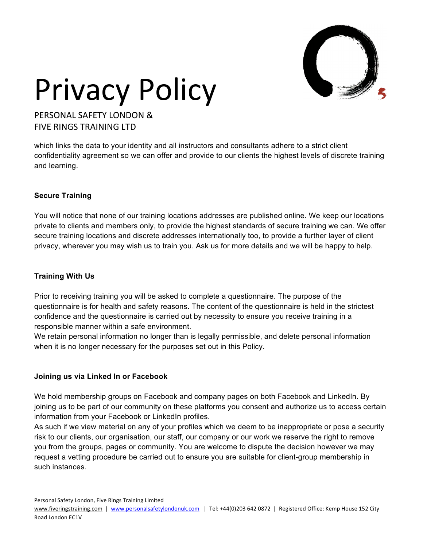

PERSONAL SAFFTY LONDON & FIVE RINGS TRAINING LTD

which links the data to your identity and all instructors and consultants adhere to a strict client confidentiality agreement so we can offer and provide to our clients the highest levels of discrete training and learning.

### **Secure Training**

You will notice that none of our training locations addresses are published online. We keep our locations private to clients and members only, to provide the highest standards of secure training we can. We offer secure training locations and discrete addresses internationally too, to provide a further layer of client privacy, wherever you may wish us to train you. Ask us for more details and we will be happy to help.

### **Training With Us**

Prior to receiving training you will be asked to complete a questionnaire. The purpose of the questionnaire is for health and safety reasons. The content of the questionnaire is held in the strictest confidence and the questionnaire is carried out by necessity to ensure you receive training in a responsible manner within a safe environment.

We retain personal information no longer than is legally permissible, and delete personal information when it is no longer necessary for the purposes set out in this Policy.

### **Joining us via Linked In or Facebook**

We hold membership groups on Facebook and company pages on both Facebook and LinkedIn. By joining us to be part of our community on these platforms you consent and authorize us to access certain information from your Facebook or LinkedIn profiles.

As such if we view material on any of your profiles which we deem to be inappropriate or pose a security risk to our clients, our organisation, our staff, our company or our work we reserve the right to remove you from the groups, pages or community. You are welcome to dispute the decision however we may request a vetting procedure be carried out to ensure you are suitable for client-group membership in such instances.

Personal Safety London, Five Rings Training Limited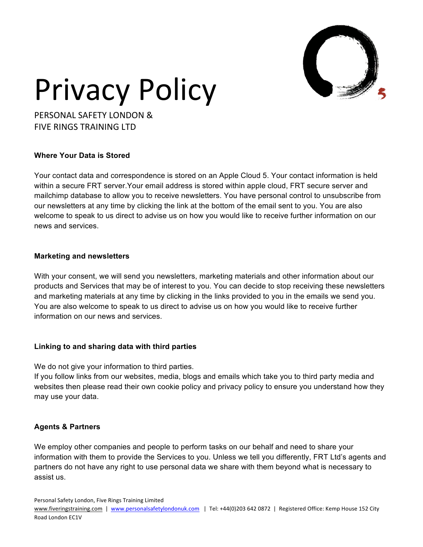

PERSONAL SAFFTY LONDON & **FIVE RINGS TRAINING LTD** 

### **Where Your Data is Stored**

Your contact data and correspondence is stored on an Apple Cloud 5. Your contact information is held within a secure FRT server.Your email address is stored within apple cloud, FRT secure server and mailchimp database to allow you to receive newsletters. You have personal control to unsubscribe from our newsletters at any time by clicking the link at the bottom of the email sent to you. You are also welcome to speak to us direct to advise us on how you would like to receive further information on our news and services.

### **Marketing and newsletters**

With your consent, we will send you newsletters, marketing materials and other information about our products and Services that may be of interest to you. You can decide to stop receiving these newsletters and marketing materials at any time by clicking in the links provided to you in the emails we send you. You are also welcome to speak to us direct to advise us on how you would like to receive further information on our news and services.

### **Linking to and sharing data with third parties**

We do not give your information to third parties.

If you follow links from our websites, media, blogs and emails which take you to third party media and websites then please read their own cookie policy and privacy policy to ensure you understand how they may use your data.

### **Agents & Partners**

We employ other companies and people to perform tasks on our behalf and need to share your information with them to provide the Services to you. Unless we tell you differently, FRT Ltd's agents and partners do not have any right to use personal data we share with them beyond what is necessary to assist us.

Personal Safety London, Five Rings Training Limited

www.fiveringstraining.com | www.personalsafetylondonuk.com | Tel: +44(0)203 642 0872 | Registered Office: Kemp House 152 City Road London EC1V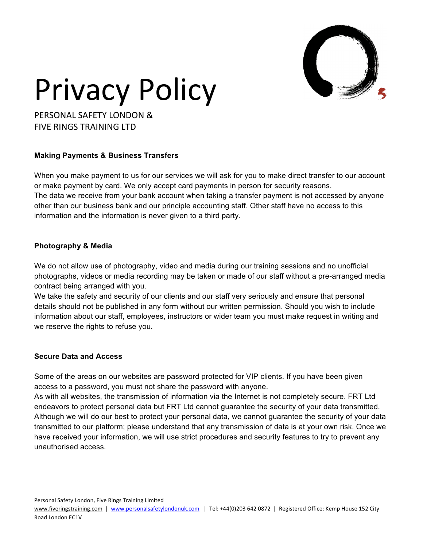

PERSONAL SAFFTY LONDON & **FIVE RINGS TRAINING LTD** 

### **Making Payments & Business Transfers**

When you make payment to us for our services we will ask for you to make direct transfer to our account or make payment by card. We only accept card payments in person for security reasons. The data we receive from your bank account when taking a transfer payment is not accessed by anyone other than our business bank and our principle accounting staff. Other staff have no access to this information and the information is never given to a third party.

### **Photography & Media**

We do not allow use of photography, video and media during our training sessions and no unofficial photographs, videos or media recording may be taken or made of our staff without a pre-arranged media contract being arranged with you.

We take the safety and security of our clients and our staff very seriously and ensure that personal details should not be published in any form without our written permission. Should you wish to include information about our staff, employees, instructors or wider team you must make request in writing and we reserve the rights to refuse you.

### **Secure Data and Access**

Some of the areas on our websites are password protected for VIP clients. If you have been given access to a password, you must not share the password with anyone.

As with all websites, the transmission of information via the Internet is not completely secure. FRT Ltd endeavors to protect personal data but FRT Ltd cannot guarantee the security of your data transmitted. Although we will do our best to protect your personal data, we cannot guarantee the security of your data transmitted to our platform; please understand that any transmission of data is at your own risk. Once we have received your information, we will use strict procedures and security features to try to prevent any unauthorised access.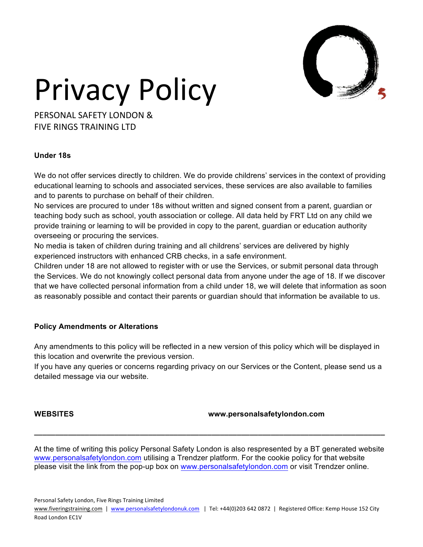

PERSONAL SAFFTY LONDON & **FIVE RINGS TRAINING LTD** 

### **Under 18s**

We do not offer services directly to children. We do provide childrens' services in the context of providing educational learning to schools and associated services, these services are also available to families and to parents to purchase on behalf of their children.

No services are procured to under 18s without written and signed consent from a parent, guardian or teaching body such as school, youth association or college. All data held by FRT Ltd on any child we provide training or learning to will be provided in copy to the parent, guardian or education authority overseeing or procuring the services.

No media is taken of children during training and all childrens' services are delivered by highly experienced instructors with enhanced CRB checks, in a safe environment.

Children under 18 are not allowed to register with or use the Services, or submit personal data through the Services. We do not knowingly collect personal data from anyone under the age of 18. If we discover that we have collected personal information from a child under 18, we will delete that information as soon as reasonably possible and contact their parents or guardian should that information be available to us.

### **Policy Amendments or Alterations**

Any amendments to this policy will be reflected in a new version of this policy which will be displayed in this location and overwrite the previous version.

If you have any queries or concerns regarding privacy on our Services or the Content, please send us a detailed message via our website.

### **WEBSITES www.personalsafetylondon.com**

At the time of writing this policy Personal Safety London is also respresented by a BT generated website www.personalsafetylondon.com utilising a Trendzer platform. For the cookie policy for that website please visit the link from the pop-up box on www.personalsafetylondon.com or visit Trendzer online.

**\_\_\_\_\_\_\_\_\_\_\_\_\_\_\_\_\_\_\_\_\_\_\_\_\_\_\_\_\_\_\_\_\_\_\_\_\_\_\_\_\_\_\_\_\_\_\_\_\_\_\_\_\_\_\_\_\_\_\_\_\_\_\_\_\_\_\_\_\_\_\_\_\_\_\_\_\_\_\_\_\_\_\_**

Personal Safety London, Five Rings Training Limited

www.fiveringstraining.com | www.personalsafetylondonuk.com | Tel: +44(0)203 642 0872 | Registered Office: Kemp House 152 City Road London EC1V